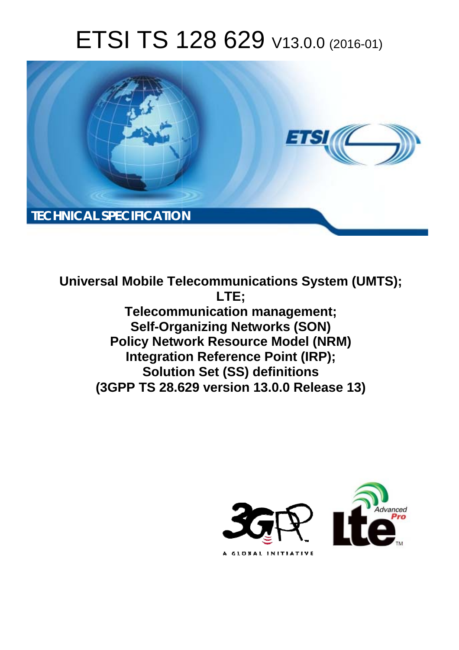# ETSI TS 128 629 V13.0.0 (2016-01)



**Universal Mobile Tel elecommunications System ( (UMTS); Telecomm munication management; Self-Orga rganizing Networks (SON) Policy Network Resource Model (NRM) Integration Reference Point (IRP); Solutio tion Set (SS) definitions**  Policy Network Resource Model (NRM)<br>Integration Reference Point (IRP);<br>Solution Set (SS) definitions<br>(3GPP TS 28.629 version 13.0.0 Release 13) **LTE;** 

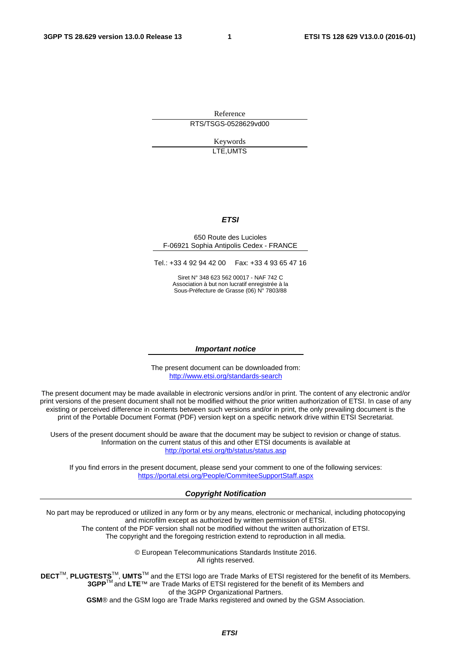Reference RTS/TSGS-0528629vd00

> Keywords LTE,UMTS

#### *ETSI*

#### 650 Route des Lucioles F-06921 Sophia Antipolis Cedex - FRANCE

Tel.: +33 4 92 94 42 00 Fax: +33 4 93 65 47 16

Siret N° 348 623 562 00017 - NAF 742 C Association à but non lucratif enregistrée à la Sous-Préfecture de Grasse (06) N° 7803/88

#### *Important notice*

The present document can be downloaded from: <http://www.etsi.org/standards-search>

The present document may be made available in electronic versions and/or in print. The content of any electronic and/or print versions of the present document shall not be modified without the prior written authorization of ETSI. In case of any existing or perceived difference in contents between such versions and/or in print, the only prevailing document is the print of the Portable Document Format (PDF) version kept on a specific network drive within ETSI Secretariat.

Users of the present document should be aware that the document may be subject to revision or change of status. Information on the current status of this and other ETSI documents is available at <http://portal.etsi.org/tb/status/status.asp>

If you find errors in the present document, please send your comment to one of the following services: <https://portal.etsi.org/People/CommiteeSupportStaff.aspx>

#### *Copyright Notification*

No part may be reproduced or utilized in any form or by any means, electronic or mechanical, including photocopying and microfilm except as authorized by written permission of ETSI.

The content of the PDF version shall not be modified without the written authorization of ETSI. The copyright and the foregoing restriction extend to reproduction in all media.

> © European Telecommunications Standards Institute 2016. All rights reserved.

**DECT**TM, **PLUGTESTS**TM, **UMTS**TM and the ETSI logo are Trade Marks of ETSI registered for the benefit of its Members. **3GPP**TM and **LTE**™ are Trade Marks of ETSI registered for the benefit of its Members and of the 3GPP Organizational Partners.

**GSM**® and the GSM logo are Trade Marks registered and owned by the GSM Association.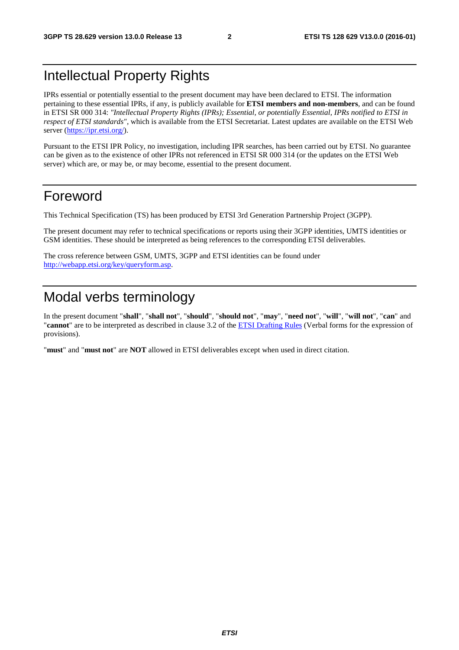#### Intellectual Property Rights

IPRs essential or potentially essential to the present document may have been declared to ETSI. The information pertaining to these essential IPRs, if any, is publicly available for **ETSI members and non-members**, and can be found in ETSI SR 000 314: *"Intellectual Property Rights (IPRs); Essential, or potentially Essential, IPRs notified to ETSI in respect of ETSI standards"*, which is available from the ETSI Secretariat. Latest updates are available on the ETSI Web server ([https://ipr.etsi.org/\)](https://ipr.etsi.org/).

Pursuant to the ETSI IPR Policy, no investigation, including IPR searches, has been carried out by ETSI. No guarantee can be given as to the existence of other IPRs not referenced in ETSI SR 000 314 (or the updates on the ETSI Web server) which are, or may be, or may become, essential to the present document.

#### Foreword

This Technical Specification (TS) has been produced by ETSI 3rd Generation Partnership Project (3GPP).

The present document may refer to technical specifications or reports using their 3GPP identities, UMTS identities or GSM identities. These should be interpreted as being references to the corresponding ETSI deliverables.

The cross reference between GSM, UMTS, 3GPP and ETSI identities can be found under [http://webapp.etsi.org/key/queryform.asp.](http://webapp.etsi.org/key/queryform.asp)

#### Modal verbs terminology

In the present document "**shall**", "**shall not**", "**should**", "**should not**", "**may**", "**need not**", "**will**", "**will not**", "**can**" and "**cannot**" are to be interpreted as described in clause 3.2 of the [ETSI Drafting Rules](http://portal.etsi.org/Help/editHelp!/Howtostart/ETSIDraftingRules.aspx) (Verbal forms for the expression of provisions).

"**must**" and "**must not**" are **NOT** allowed in ETSI deliverables except when used in direct citation.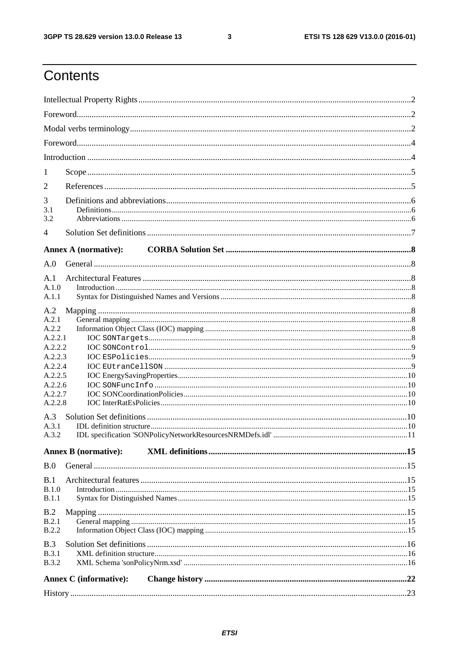$\mathbf{3}$ 

# Contents

| 1                  |                               |  |
|--------------------|-------------------------------|--|
| 2                  |                               |  |
| 3<br>3.1<br>3.2    |                               |  |
| 4                  |                               |  |
|                    |                               |  |
|                    | <b>Annex A (normative):</b>   |  |
| A.0                |                               |  |
| A.1<br>A.1.0       |                               |  |
| A.1.1              |                               |  |
| A.2                |                               |  |
| A.2.1<br>A.2.2     |                               |  |
| A.2.2.1            |                               |  |
| A.2.2.2<br>A.2.2.3 |                               |  |
| A.2.2.4            |                               |  |
| A.2.2.5            |                               |  |
| A.2.2.6            |                               |  |
| A.2.2.7<br>A.2.2.8 |                               |  |
| A.3                |                               |  |
| A.3.1              |                               |  |
| A.3.2              |                               |  |
|                    | <b>Annex B</b> (normative):   |  |
| B.0                |                               |  |
| B.1                |                               |  |
| B.1.0              |                               |  |
| <b>B.1.1</b>       |                               |  |
| B.2                |                               |  |
| B.2.1              |                               |  |
| <b>B.2.2</b>       |                               |  |
| B.3<br>B.3.1       |                               |  |
| <b>B.3.2</b>       |                               |  |
|                    | <b>Annex C</b> (informative): |  |
|                    |                               |  |
|                    |                               |  |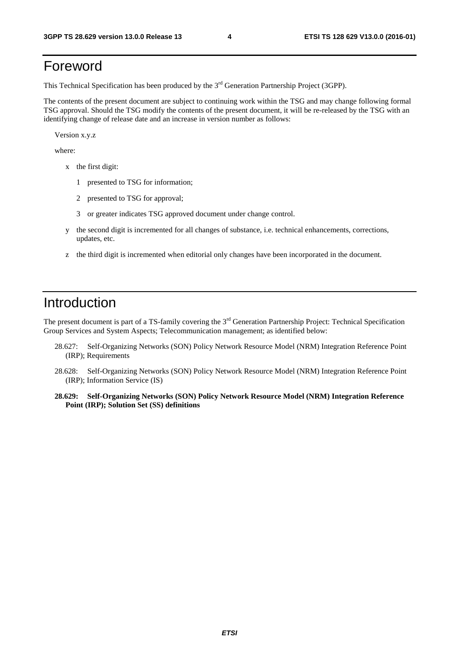#### Foreword

This Technical Specification has been produced by the 3<sup>rd</sup> Generation Partnership Project (3GPP).

The contents of the present document are subject to continuing work within the TSG and may change following formal TSG approval. Should the TSG modify the contents of the present document, it will be re-released by the TSG with an identifying change of release date and an increase in version number as follows:

Version x.y.z

where:

- x the first digit:
	- 1 presented to TSG for information;
	- 2 presented to TSG for approval;
	- 3 or greater indicates TSG approved document under change control.
- y the second digit is incremented for all changes of substance, i.e. technical enhancements, corrections, updates, etc.
- z the third digit is incremented when editorial only changes have been incorporated in the document.

#### Introduction

The present document is part of a TS-family covering the 3<sup>rd</sup> Generation Partnership Project: Technical Specification Group Services and System Aspects; Telecommunication management; as identified below:

- 28.627: Self-Organizing Networks (SON) Policy Network Resource Model (NRM) Integration Reference Point (IRP); Requirements
- 28.628: Self-Organizing Networks (SON) Policy Network Resource Model (NRM) Integration Reference Point (IRP); Information Service (IS)
- **28.629: Self-Organizing Networks (SON) Policy Network Resource Model (NRM) Integration Reference Point (IRP); Solution Set (SS) definitions**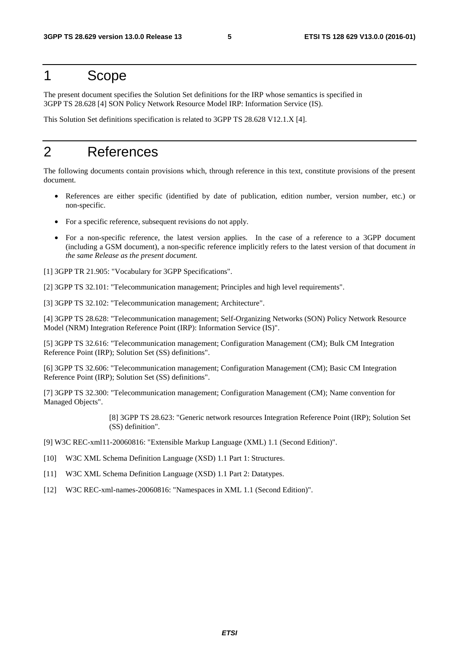#### 1 Scope

The present document specifies the Solution Set definitions for the IRP whose semantics is specified in 3GPP TS 28.628 [4] SON Policy Network Resource Model IRP: Information Service (IS).

This Solution Set definitions specification is related to 3GPP TS 28.628 V12.1.X [4].

#### 2 References

The following documents contain provisions which, through reference in this text, constitute provisions of the present document.

- References are either specific (identified by date of publication, edition number, version number, etc.) or non-specific.
- For a specific reference, subsequent revisions do not apply.
- For a non-specific reference, the latest version applies. In the case of a reference to a 3GPP document (including a GSM document), a non-specific reference implicitly refers to the latest version of that document *in the same Release as the present document*.
- [1] 3GPP TR 21.905: "Vocabulary for 3GPP Specifications".

[2] 3GPP TS 32.101: "Telecommunication management; Principles and high level requirements".

[3] 3GPP TS 32.102: "Telecommunication management; Architecture".

[4] 3GPP TS 28.628: "Telecommunication management; Self-Organizing Networks (SON) Policy Network Resource Model (NRM) Integration Reference Point (IRP): Information Service (IS)".

[5] 3GPP TS 32.616: "Telecommunication management; Configuration Management (CM); Bulk CM Integration Reference Point (IRP); Solution Set (SS) definitions".

[6] 3GPP TS 32.606: "Telecommunication management; Configuration Management (CM); Basic CM Integration Reference Point (IRP); Solution Set (SS) definitions".

[7] 3GPP TS 32.300: "Telecommunication management; Configuration Management (CM); Name convention for Managed Objects".

> [8] 3GPP TS 28.623: "Generic network resources Integration Reference Point (IRP); Solution Set (SS) definition".

[9] W3C REC-xml11-20060816: "Extensible Markup Language (XML) 1.1 (Second Edition)".

- [10] W3C XML Schema Definition Language (XSD) 1.1 Part 1: Structures.
- [11] W3C XML Schema Definition Language (XSD) 1.1 Part 2: Datatypes.
- [12] W3C REC-xml-names-20060816: "Namespaces in XML 1.1 (Second Edition)".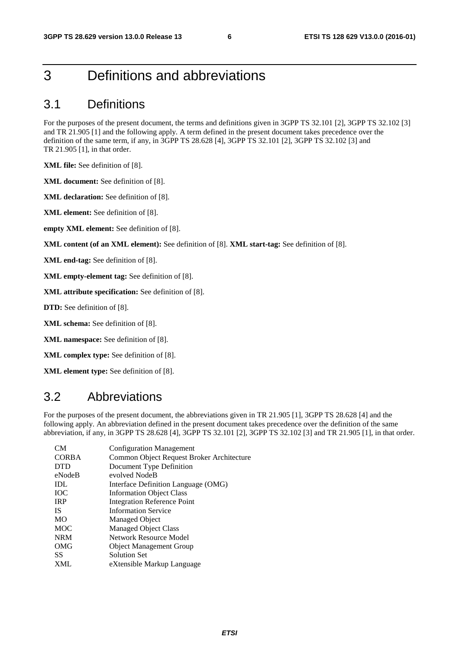#### 3 Definitions and abbreviations

#### 3.1 Definitions

For the purposes of the present document, the terms and definitions given in 3GPP TS 32.101 [2], 3GPP TS 32.102 [3] and TR 21.905 [1] and the following apply. A term defined in the present document takes precedence over the definition of the same term, if any, in 3GPP TS 28.628 [4], 3GPP TS 32.101 [2], 3GPP TS 32.102 [3] and TR 21.905 [1], in that order.

**XML file:** See definition of [8].

**XML document:** See definition of [8].

**XML declaration:** See definition of [8].

**XML element:** See definition of [8].

**empty XML element:** See definition of [8].

**XML content (of an XML element):** See definition of [8]. **XML start-tag:** See definition of [8].

**XML end-tag:** See definition of [8].

**XML empty-element tag:** See definition of [8].

**XML attribute specification:** See definition of [8].

**DTD:** See definition of [8].

**XML schema:** See definition of [8].

**XML namespace:** See definition of [8].

**XML complex type:** See definition of [8].

**XML element type:** See definition of [8].

#### 3.2 Abbreviations

For the purposes of the present document, the abbreviations given in TR 21.905 [1], 3GPP TS 28.628 [4] and the following apply. An abbreviation defined in the present document takes precedence over the definition of the same abbreviation, if any, in 3GPP TS 28.628 [4], 3GPP TS 32.101 [2], 3GPP TS 32.102 [3] and TR 21.905 [1], in that order.

| CM           | <b>Configuration Management</b>           |
|--------------|-------------------------------------------|
| <b>CORBA</b> | Common Object Request Broker Architecture |
| <b>DTD</b>   | Document Type Definition                  |
| eNodeB       | evolved NodeB                             |
| IDL          | Interface Definition Language (OMG)       |
| <b>IOC</b>   | <b>Information Object Class</b>           |
| <b>IRP</b>   | <b>Integration Reference Point</b>        |
| <b>IS</b>    | <b>Information Service</b>                |
| <b>MO</b>    | <b>Managed Object</b>                     |
| <b>MOC</b>   | <b>Managed Object Class</b>               |
| <b>NRM</b>   | Network Resource Model                    |
| OMG          | <b>Object Management Group</b>            |
| SS.          | <b>Solution Set</b>                       |
| XML          | eXtensible Markup Language                |
|              |                                           |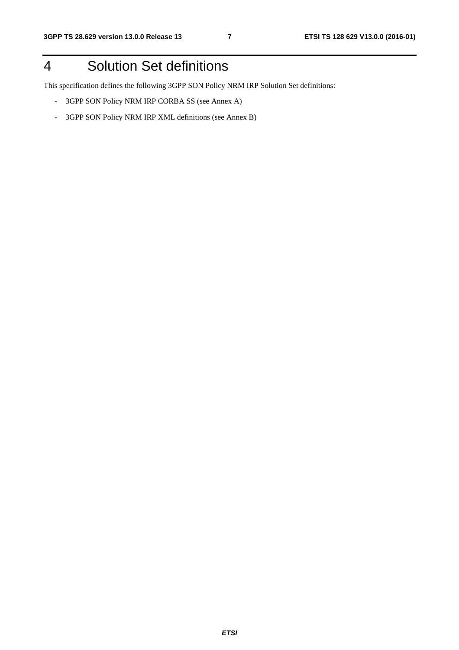## 4 Solution Set definitions

This specification defines the following 3GPP SON Policy NRM IRP Solution Set definitions:

- 3GPP SON Policy NRM IRP CORBA SS (see Annex A)
- 3GPP SON Policy NRM IRP XML definitions (see Annex B)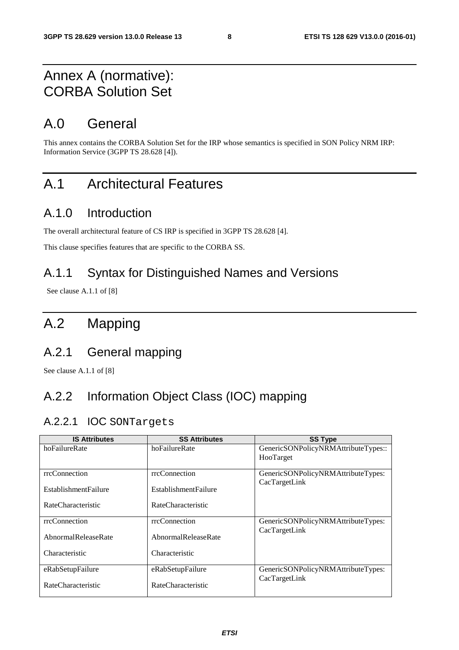#### Annex A (normative): CORBA Solution Set

#### A.0 General

This annex contains the CORBA Solution Set for the IRP whose semantics is specified in SON Policy NRM IRP: Information Service (3GPP TS 28.628 [4]).

#### A.1 Architectural Features

#### A.1.0 Introduction

The overall architectural feature of CS IRP is specified in 3GPP TS 28.628 [4].

This clause specifies features that are specific to the CORBA SS.

#### A.1.1 Syntax for Distinguished Names and Versions

See clause A.1.1 of [8]

#### A.2 Mapping

#### A.2.1 General mapping

See clause A.1.1 of [8]

#### A.2.2 Information Object Class (IOC) mapping

#### A.2.2.1 IOC SONTargets

| <b>IS Attributes</b>        | <b>SS Attributes</b>        | <b>SS Type</b>                                      |
|-----------------------------|-----------------------------|-----------------------------------------------------|
| hoFailureRate               | hoFailureRate               | GenericSONPolicyNRMAttributeTypes::                 |
|                             |                             | HooTarget                                           |
| rrcConnection               | rrcConnection               | GenericSONPolicyNRMAttributeTypes:<br>CacTargetLink |
| <b>EstablishmentFailure</b> | <b>EstablishmentFailure</b> |                                                     |
| RateCharacteristic          | RateCharacteristic          |                                                     |
| rrcConnection               | rrcConnection               | GenericSONPolicyNRMAttributeTypes:<br>CacTargetLink |
| AbnormalReleaseRate         | AbnormalReleaseRate         |                                                     |
| Characteristic              | Characteristic              |                                                     |
| eRabSetupFailure            | eRabSetupFailure            | GenericSONPolicyNRMAttributeTypes:<br>CacTargetLink |
| RateCharacteristic          | RateCharacteristic          |                                                     |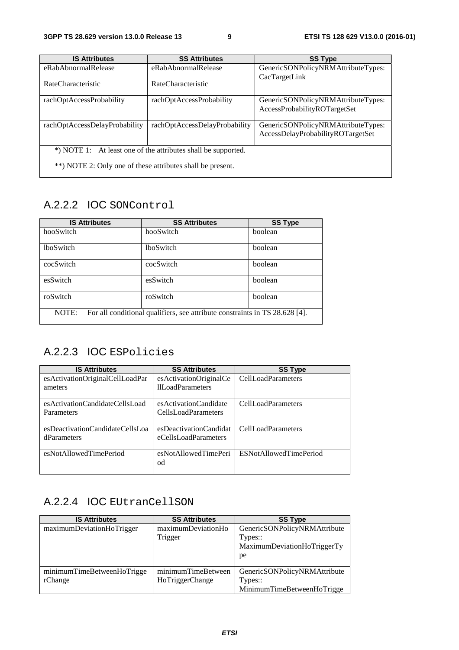| <b>IS Attributes</b>                                          | <b>SS Attributes</b>          | <b>SS Type</b>                     |  |
|---------------------------------------------------------------|-------------------------------|------------------------------------|--|
| eRabAbnormalRelease                                           | eRabAbnormalRelease           | GenericSONPolicyNRMAttributeTypes: |  |
| RateCharacteristic                                            | RateCharacteristic            | CacTargetLink                      |  |
| rachOptAccessProbability                                      | rachOptAccessProbability      | GenericSONPolicyNRMAttributeTypes: |  |
|                                                               |                               | AccessProbabilityROTargetSet       |  |
|                                                               |                               |                                    |  |
| rachOptAccessDelayProbability                                 | rachOptAccessDelayProbability | GenericSONPolicyNRMAttributeTypes: |  |
|                                                               |                               | AccessDelayProbabilityROTargetSet  |  |
|                                                               |                               |                                    |  |
| *) NOTE 1: At least one of the attributes shall be supported. |                               |                                    |  |
| **) NOTE 2: Only one of these attributes shall be present.    |                               |                                    |  |

#### A.2.2.2 IOC SONControl

| <b>IS Attributes</b> | <b>SS Attributes</b>                                                        | <b>SS Type</b> |
|----------------------|-----------------------------------------------------------------------------|----------------|
| hooSwitch            | hooSwitch                                                                   | boolean        |
| <b>lboSwitch</b>     | <b>lboSwitch</b>                                                            | boolean        |
| cocSwitch            | cocSwitch                                                                   | boolean        |
| esSwitch             | esSwitch                                                                    | boolean        |
| roSwitch             | roSwitch                                                                    | boolean        |
| NOTE:                | For all conditional qualifiers, see attribute constraints in TS 28.628 [4]. |                |

#### A.2.2.3 IOC ESPolicies

| <b>IS Attributes</b>                                  | <b>SS Attributes</b>                                | <b>SS Type</b>            |
|-------------------------------------------------------|-----------------------------------------------------|---------------------------|
| esActivationOriginalCellLoadPar<br>ameters            | esActivationOriginalCe<br>III oadParameters         | CellLoadParameters        |
| esActivationCandidateCellsLoad<br>Parameters          | esActivationCandidate<br><b>CellsLoadParameters</b> | <b>CellLoadParameters</b> |
| esDeactivationCandidateCellsLoa<br><b>dParameters</b> | esDeactivationCandidat<br>eCellsLoadParameters      | <b>CellLoadParameters</b> |
| esNotAllowedTimePeriod                                | esNotAllowedTimePeri<br>od                          | ESNotAllowedTimePeriod    |

#### A.2.2.4 IOC EUtranCellSON

| <b>IS Attributes</b>       | <b>SS Attributes</b> | <b>SS Type</b>               |
|----------------------------|----------------------|------------------------------|
| maximumDeviationHoTrigger  | maximumDeviationHo   | GenericSONPolicyNRMAttribute |
|                            | Trigger              | Types::                      |
|                            |                      | MaximumDeviationHoTriggerTy  |
|                            |                      | pe                           |
|                            |                      |                              |
| minimumTimeBetweenHoTrigge | minimumTimeBetween   | GenericSONPolicyNRMAttribute |
| rChange                    | HoTriggerChange      | Types::                      |
|                            |                      | MinimumTimeBetweenHoTrigge   |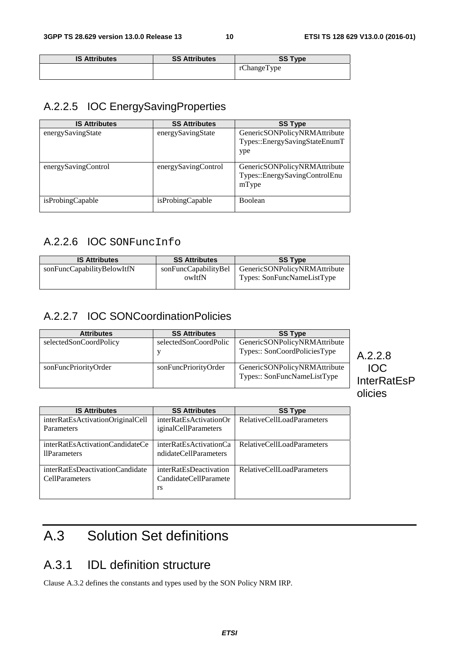| <b>IS Attributes</b> | <b>SS Attributes</b> | <b>SS Type</b> |
|----------------------|----------------------|----------------|
|                      |                      | rChangeType    |

#### A.2.2.5 IOC EnergySavingProperties

| <b>IS Attributes</b> | <b>SS Attributes</b> | <b>SS Type</b>                                                         |
|----------------------|----------------------|------------------------------------------------------------------------|
| energySavingState    | energySavingState    | GenericSONPolicyNRMAttribute<br>Types::EnergySavingStateEnumT<br>ype   |
| energySavingControl  | energySavingControl  | GenericSONPolicyNRMAttribute<br>Types::EnergySavingControlEnu<br>mType |
| isProbingCapable     | isProbingCapable     | <b>Boolean</b>                                                         |

#### A.2.2.6 IOC SONFuncInfo

| <b>IS Attributes</b>       | <b>SS Attributes</b>           | <b>SS Type</b>                                             |
|----------------------------|--------------------------------|------------------------------------------------------------|
| sonFuncCapabilityBelowItfN | sonFuncCapabilityBel<br>owItfN | GenericSONPolicyNRMAttribute<br>Types: SonFuncNameListType |

#### A.2.2.7 IOC SONCoordinationPolicies

| <b>Attributes</b>      | <b>SS Attributes</b>  | <b>SS Type</b>                                              |  |
|------------------------|-----------------------|-------------------------------------------------------------|--|
| selectedSonCoordPolicy | selectedSonCoordPolic | GenericSONPolicyNRMAttribute                                |  |
|                        |                       | Types:: SonCoordPoliciesType                                |  |
| sonFuncPriorityOrder   | sonFuncPriorityOrder  | GenericSONPolicyNRMAttribute<br>Types:: SonFuncNameListType |  |
|                        |                       |                                                             |  |

#### A.2.2.8 IOC InterRatEsP olicies

| <b>IS Attributes</b>             | <b>SS Attributes</b>   | <b>SS Type</b>             |
|----------------------------------|------------------------|----------------------------|
| interRatEsActivationOriginalCell | interRatEsActivationOr | RelativeCellLoadParameters |
| Parameters                       | iginalCellParameters   |                            |
|                                  |                        |                            |
| interRatEsActivationCandidateCe  | interRatEsActivationCa | RelativeCellLoadParameters |
| 11Parameters                     | ndidateCellParameters  |                            |
|                                  |                        |                            |
| interRatEsDeactivationCandidate  | interRatEsDeactivation | RelativeCellLoadParameters |
| <b>CellParameters</b>            | CandidateCellParamete  |                            |
|                                  | rs                     |                            |
|                                  |                        |                            |

# A.3 Solution Set definitions

#### A.3.1 IDL definition structure

Clause A.3.2 defines the constants and types used by the SON Policy NRM IRP.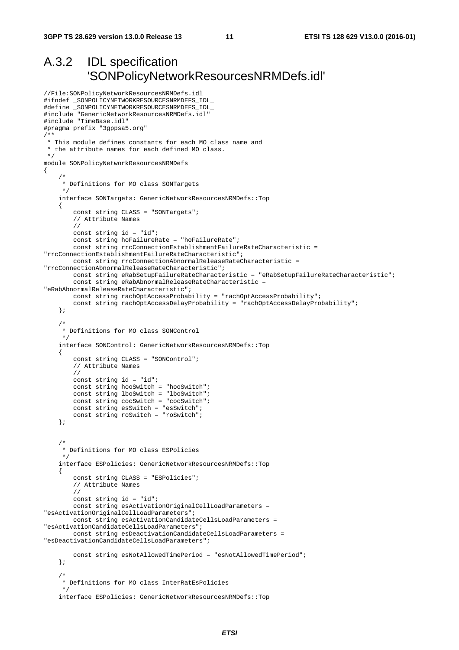#### A.3.2 IDL specification 'SONPolicyNetworkResourcesNRMDefs.idl'

```
//File:SONPolicyNetworkResourcesNRMDefs.idl 
#ifndef _SONPOLICYNETWORKRESOURCESNRMDEFS_IDL_ 
#define _SONPOLICYNETWORKRESOURCESNRMDEFS_IDL_ 
#include "GenericNetworkResourcesNRMDefs.idl" 
#include "TimeBase.idl" 
#pragma prefix "3gppsa5.org" 
/** 
 * This module defines constants for each MO class name and 
  * the attribute names for each defined MO class. 
  */ 
module SONPolicyNetworkResourcesNRMDefs 
{ 
 /* 
      * Definitions for MO class SONTargets 
      */ 
     interface SONTargets: GenericNetworkResourcesNRMDefs::Top 
     { 
         const string CLASS = "SONTargets"; 
         // Attribute Names 
         // 
         const string id = "id"; 
         const string hoFailureRate = "hoFailureRate"; 
         const string rrcConnectionEstablishmentFailureRateCharacteristic = 
"rrcConnectionEstablishmentFailureRateCharacteristic"; 
         const string rrcConnectionAbnormalReleaseRateCharacteristic = 
"rrcConnectionAbnormalReleaseRateCharacteristic"; 
         const string eRabSetupFailureRateCharacteristic = "eRabSetupFailureRateCharacteristic"; 
         const string eRabAbnormalReleaseRateCharacteristic = 
"eRabAbnormalReleaseRateCharacteristic"; 
         const string rachOptAccessProbability = "rachOptAccessProbability"; 
         const string rachOptAccessDelayProbability = "rachOptAccessDelayProbability"; 
     }; 
     /* 
      * Definitions for MO class SONControl 
      */ 
     interface SONControl: GenericNetworkResourcesNRMDefs::Top 
    \left\{ \right. const string CLASS = "SONControl"; 
         // Attribute Names 
         // 
         const string id = "id"; 
         const string hooSwitch = "hooSwitch"; 
         const string lboSwitch = "lboSwitch"; 
         const string cocSwitch = "cocSwitch"; 
        const string esSwitch = "esSwitch";
         const string roSwitch = "roSwitch"; 
     }; 
 /* 
      * Definitions for MO class ESPolicies 
      */ 
     interface ESPolicies: GenericNetworkResourcesNRMDefs::Top 
     { 
         const string CLASS = "ESPolicies"; 
         // Attribute Names 
         // 
         const string id = "id"; 
         const string esActivationOriginalCellLoadParameters = 
"esActivationOriginalCellLoadParameters"; 
         const string esActivationCandidateCellsLoadParameters = 
"esActivationCandidateCellsLoadParameters"; 
         const string esDeactivationCandidateCellsLoadParameters = 
"esDeactivationCandidateCellsLoadParameters"; 
         const string esNotAllowedTimePeriod = "esNotAllowedTimePeriod"; 
     }; 
     /* 
      * Definitions for MO class InterRatEsPolicies 
      */ 
     interface ESPolicies: GenericNetworkResourcesNRMDefs::Top
```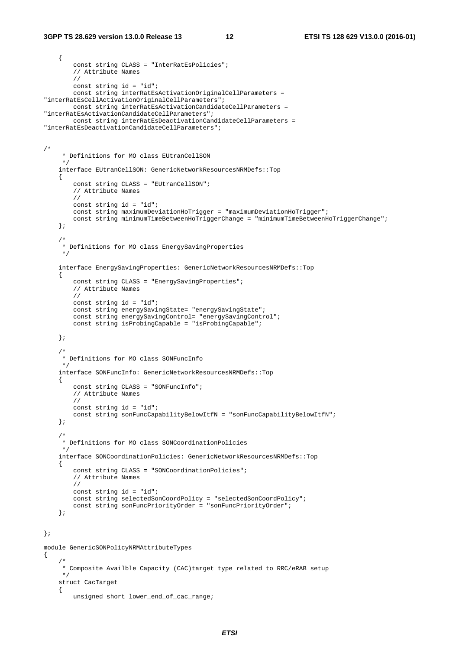{

```
 const string CLASS = "InterRatEsPolicies"; 
         // Attribute Names 
         // 
         const string id = "id"; 
         const string interRatEsActivationOriginalCellParameters = 
"interRatEsCellActivationOriginalCellParameters"; 
         const string interRatEsActivationCandidateCellParameters = 
"interRatEsActivationCandidateCellParameters"; 
         const string interRatEsDeactivationCandidateCellParameters = 
"interRatEsDeactivationCandidateCellParameters"; 
/* 
      * Definitions for MO class EUtranCellSON 
      */ 
     interface EUtranCellSON: GenericNetworkResourcesNRMDefs::Top 
     { 
         const string CLASS = "EUtranCellSON"; 
         // Attribute Names 
         // 
         const string id = "id"; 
         const string maximumDeviationHoTrigger = "maximumDeviationHoTrigger"; 
         const string minimumTimeBetweenHoTriggerChange = "minimumTimeBetweenHoTriggerChange"; 
     }; 
     /* 
      * Definitions for MO class EnergySavingProperties 
      */ 
     interface EnergySavingProperties: GenericNetworkResourcesNRMDefs::Top 
     { 
         const string CLASS = "EnergySavingProperties"; 
         // Attribute Names 
         // 
         const string id = "id"; 
         const string energySavingState= "energySavingState"; 
         const string energySavingControl= "energySavingControl"; 
         const string isProbingCapable = "isProbingCapable"; 
     }; 
     /* 
      * Definitions for MO class SONFuncInfo 
      */ 
     interface SONFuncInfo: GenericNetworkResourcesNRMDefs::Top 
     { 
         const string CLASS = "SONFuncInfo"; 
         // Attribute Names 
         // 
         const string id = "id"; 
         const string sonFuncCapabilityBelowItfN = "sonFuncCapabilityBelowItfN"; 
     }; 
 /* 
      * Definitions for MO class SONCoordinationPolicies 
      */ 
     interface SONCoordinationPolicies: GenericNetworkResourcesNRMDefs::Top 
     { 
         const string CLASS = "SONCoordinationPolicies"; 
         // Attribute Names 
         // 
         const string id = "id"; 
 const string selectedSonCoordPolicy = "selectedSonCoordPolicy"; 
 const string sonFuncPriorityOrder = "sonFuncPriorityOrder"; 
     }; 
}; 
module GenericSONPolicyNRMAttributeTypes 
{ 
 /* 
      * Composite Availble Capacity (CAC)target type related to RRC/eRAB setup 
     */ 
     struct CacTarget 
     { 
         unsigned short lower_end_of_cac_range;
```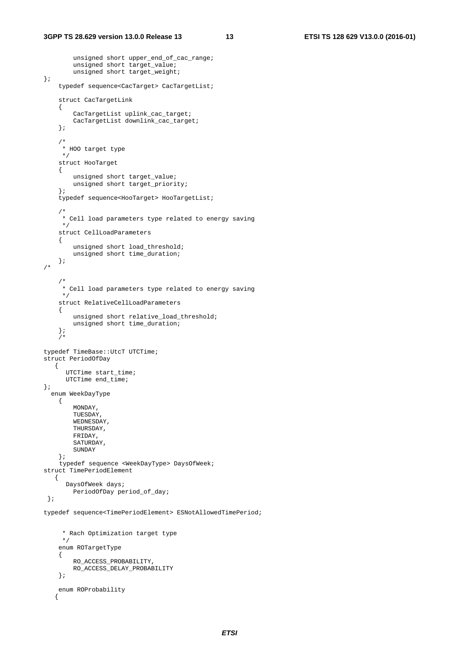unsigned short upper\_end\_of\_cac\_range;

```
 unsigned short target_value; 
        unsigned short target_weight;
}; 
     typedef sequence<CacTarget> CacTargetList; 
     struct CacTargetLink 
     { 
         CacTargetList uplink_cac_target; 
          CacTargetList downlink_cac_target; 
     }; 
     /* 
      * HOO target type 
      */ 
     struct HooTarget 
     { 
          unsigned short target_value; 
         unsigned short target_priority; 
     }; 
     typedef sequence<HooTarget> HooTargetList; 
     /* 
      * Cell load parameters type related to energy saving 
      */ 
     struct CellLoadParameters 
     { 
          unsigned short load_threshold; 
         unsigned short time_duration; 
     }; 
/* 
     /* 
      * Cell load parameters type related to energy saving 
      */ 
     struct RelativeCellLoadParameters 
     { 
          unsigned short relative_load_threshold; 
         unsigned short time_duration; 
     }; 
    7*typedef TimeBase::UtcT UTCTime; 
struct PeriodOfDay 
    { 
       UTCTime start_time; 
       UTCTime end_time; 
}; 
   enum WeekDayType 
     { 
         MONDAY, 
         TUESDAY, 
         WEDNESDAY, 
         THURSDAY, 
         FRIDAY, 
         SATURDAY, 
         SUNDAY 
     }; 
    typedef sequence <WeekDayType> DaysOfWeek; 
struct TimePeriodElement 
    { 
       DaysOfWeek days; 
         PeriodOfDay period_of_day; 
  }; 
typedef sequence<TimePeriodElement> ESNotAllowedTimePeriod; 
       * Rach Optimization target type 
     \star /
```

```
 enum ROTargetType 
 { 
      RO_ACCESS_PROBABILITY, 
      RO_ACCESS_DELAY_PROBABILITY 
 }; 
 enum ROProbability 
 {
```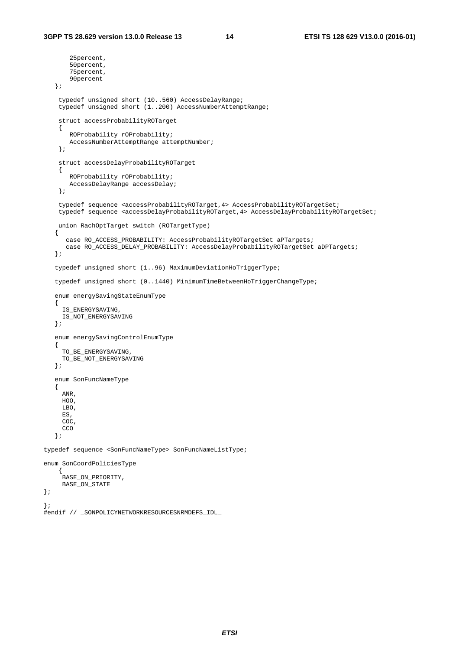```
 25percent, 
         50percent, 
         75percent, 
        90percent 
    }; 
     typedef unsigned short (10..560) AccessDelayRange; 
     typedef unsigned short (1..200) AccessNumberAttemptRange; 
     struct accessProbabilityROTarget 
     { 
        ROProbability rOProbability; 
        AccessNumberAttemptRange attemptNumber; 
     }; 
     struct accessDelayProbabilityROTarget 
    \left\{ \right. ROProbability rOProbability; 
        AccessDelayRange accessDelay; 
     }; 
     typedef sequence <accessProbabilityROTarget,4> AccessProbabilityROTargetSet; 
     typedef sequence <accessDelayProbabilityROTarget,4> AccessDelayProbabilityROTargetSet; 
     union RachOptTarget switch (ROTargetType) 
    { 
      case RO_ACCESS_PROBABILITY: AccessProbabilityROTargetSet aPTargets;
      case RO_ACCESS_DELAY_PROBABILITY: AccessDelayProbabilityROTargetSet aDPTargets;
    }; 
    typedef unsigned short (1..96) MaximumDeviationHoTriggerType; 
    typedef unsigned short (0..1440) MinimumTimeBetweenHoTriggerChangeType; 
    enum energySavingStateEnumType 
   \left\{ \right. IS_ENERGYSAVING, 
      IS_NOT_ENERGYSAVING 
    }; 
    enum energySavingControlEnumType 
    { 
     TO BE ENERGYSAVING,
      TO_BE_NOT_ENERGYSAVING 
    }; 
    enum SonFuncNameType 
    { 
      ANR, 
      HOO, 
      LBO, 
      ES, 
      COC, 
     CCO
    }; 
typedef sequence <SonFuncNameType> SonFuncNameListType; 
enum SonCoordPoliciesType 
     { 
      BASE_ON_PRIORITY, 
      BASE_ON_STATE 
}; 
};
```
#endif // \_SONPOLICYNETWORKRESOURCESNRMDEFS\_IDL\_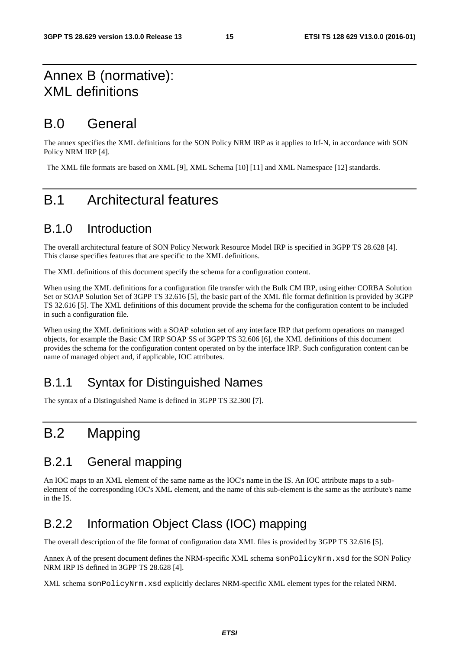#### Annex B (normative): XML definitions

#### B.0 General

The annex specifies the XML definitions for the SON Policy NRM IRP as it applies to Itf-N, in accordance with SON Policy NRM IRP [4].

The XML file formats are based on XML [9], XML Schema [10] [11] and XML Namespace [12] standards.

#### B.1 Architectural features

#### B.1.0 Introduction

The overall architectural feature of SON Policy Network Resource Model IRP is specified in 3GPP TS 28.628 [4]. This clause specifies features that are specific to the XML definitions.

The XML definitions of this document specify the schema for a configuration content.

When using the XML definitions for a configuration file transfer with the Bulk CM IRP, using either CORBA Solution Set or SOAP Solution Set of 3GPP TS 32.616 [5], the basic part of the XML file format definition is provided by 3GPP TS 32.616 [5]. The XML definitions of this document provide the schema for the configuration content to be included in such a configuration file.

When using the XML definitions with a SOAP solution set of any interface IRP that perform operations on managed objects, for example the Basic CM IRP SOAP SS of 3GPP TS 32.606 [6], the XML definitions of this document provides the schema for the configuration content operated on by the interface IRP. Such configuration content can be name of managed object and, if applicable, IOC attributes.

#### B.1.1 Syntax for Distinguished Names

The syntax of a Distinguished Name is defined in 3GPP TS 32.300 [7].

#### B.2 Mapping

#### B.2.1 General mapping

An IOC maps to an XML element of the same name as the IOC's name in the IS. An IOC attribute maps to a subelement of the corresponding IOC's XML element, and the name of this sub-element is the same as the attribute's name in the IS.

#### B.2.2 Information Object Class (IOC) mapping

The overall description of the file format of configuration data XML files is provided by 3GPP TS 32.616 [5].

Annex A of the present document defines the NRM-specific XML schema sonPolicyNrm.xsd for the SON Policy NRM IRP IS defined in 3GPP TS 28.628 [4].

XML schema sonPolicyNrm.xsd explicitly declares NRM-specific XML element types for the related NRM.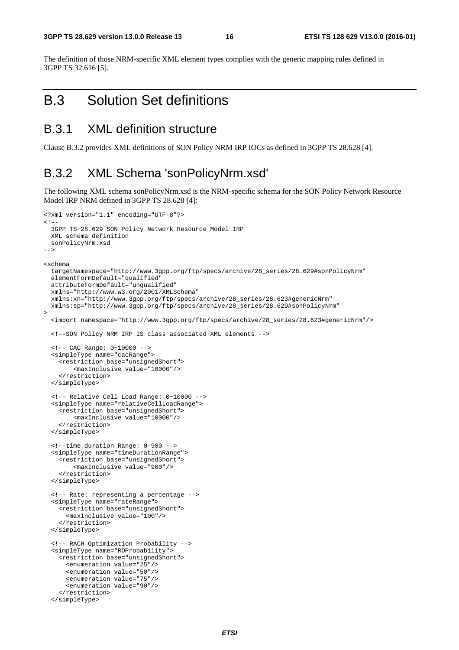The definition of those NRM-specific XML element types complies with the generic mapping rules defined in 3GPP TS 32.616 [5].

#### B.3 Solution Set definitions

#### B.3.1 XML definition structure

Clause B.3.2 provides XML definitions of SON Policy NRM IRP IOCs as defined in 3GPP TS 28.628 [4].

#### B.3.2 XML Schema 'sonPolicyNrm.xsd'

The following XML schema sonPolicyNrm.xsd is the NRM-specific schema for the SON Policy Network Resource Model IRP NRM defined in 3GPP TS 28.628 [4]:

```
<?xml version="1.1" encoding="UTF-8"?> 
< ! - - 3GPP TS 28.629 SON Policy Network Resource Model IRP 
   XML schema definition 
   sonPolicyNrm.xsd 
--> 
<schema 
   targetNamespace="http://www.3gpp.org/ftp/specs/archive/28_series/28.629#sonPolicyNrm" 
   elementFormDefault="qualified" 
   attributeFormDefault="unqualified" 
   xmlns="http://www.w3.org/2001/XMLSchema" 
   xmlns:xn="http://www.3gpp.org/ftp/specs/archive/28_series/28.623#genericNrm" 
   xmlns:sp="http://www.3gpp.org/ftp/specs/archive/28_series/28.629#sonPolicyNrm" 
\sim <import namespace="http://www.3gpp.org/ftp/specs/archive/28_series/28.623#genericNrm"/> 
   <!--SON Policy NRM IRP IS class associated XML elements --> 
   <!-- CAC Range: 0~10000 --> 
   <simpleType name="cacRange"> 
     <restriction base="unsignedShort"> 
         <maxInclusive value="10000"/> 
     </restriction> 
   </simpleType> 
   <!-- Relative Cell Load Range: 0~10000 --> 
   <simpleType name="relativeCellLoadRange"> 
     <restriction base="unsignedShort"> 
         <maxInclusive value="10000"/> 
     </restriction> 
   </simpleType> 
   <!--time duration Range: 0-900 --> 
   <simpleType name="timeDurationRange"> 
     <restriction base="unsignedShort"> 
         <maxInclusive value="900"/> 
     </restriction> 
   </simpleType> 
   <!-- Rate: representing a percentage --> 
   <simpleType name="rateRange"> 
     <restriction base="unsignedShort"> 
       <maxInclusive value="100"/> 
     </restriction> 
   </simpleType> 
   <!-- RACH Optimization Probability --> 
   <simpleType name="ROProbability"> 
     <restriction base="unsignedShort"> 
       <enumeration value="25"/> 
       <enumeration value="50"/> 
       <enumeration value="75"/> 
       <enumeration value="90"/> 
     </restriction> 
   </simpleType>
```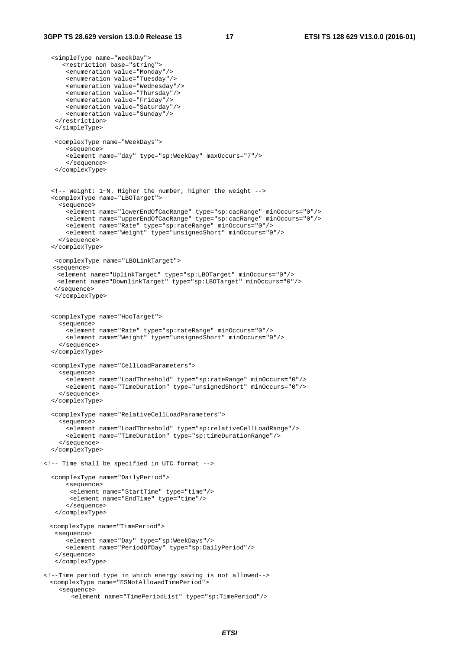```
 <simpleType name="WeekDay"> 
      <restriction base="string"> 
       <enumeration value="Monday"/> 
       <enumeration value="Tuesday"/> 
       <enumeration value="Wednesday"/> 
       <enumeration value="Thursday"/> 
       <enumeration value="Friday"/> 
       <enumeration value="Saturday"/> 
       <enumeration value="Sunday"/> 
    </restriction> 
    </simpleType> 
    <complexType name="WeekDays"> 
       <sequence> 
       <element name="day" type="sp:WeekDay" maxOccurs="7"/> 
       </sequence> 
    </complexType> 
   <!-- Weight: 1~N. Higher the number, higher the weight --> 
   <complexType name="LBOTarget"> 
     <sequence> 
 <element name="lowerEndOfCacRange" type="sp:cacRange" minOccurs="0"/> 
 <element name="upperEndOfCacRange" type="sp:cacRange" minOccurs="0"/> 
       <element name="Rate" type="sp:rateRange" minOccurs="0"/> 
       <element name="Weight" type="unsignedShort" minOccurs="0"/> 
     </sequence> 
   </complexType> 
    <complexType name="LBOLinkTarget"> 
   <sequence> 
    <element name="UplinkTarget" type="sp:LBOTarget" minOccurs="0"/> 
    <element name="DownlinkTarget" type="sp:LBOTarget" minOccurs="0"/> 
   </sequence> 
    </complexType> 
   <complexType name="HooTarget"> 
     <sequence> 
       <element name="Rate" type="sp:rateRange" minOccurs="0"/> 
       <element name="Weight" type="unsignedShort" minOccurs="0"/> 
     </sequence> 
   </complexType> 
   <complexType name="CellLoadParameters"> 
     <sequence> 
       <element name="LoadThreshold" type="sp:rateRange" minOccurs="0"/> 
       <element name="TimeDuration" type="unsignedShort" minOccurs="0"/> 
     </sequence> 
   </complexType> 
   <complexType name="RelativeCellLoadParameters"> 
     <sequence> 
       <element name="LoadThreshold" type="sp:relativeCellLoadRange"/> 
       <element name="TimeDuration" type="sp:timeDurationRange"/> 
     </sequence> 
   </complexType> 
<!-- Time shall be specified in UTC format --> 
   <complexType name="DailyPeriod"> 
       <sequence> 
        <element name="StartTime" type="time"/> 
        <element name="EndTime" type="time"/> 
       </sequence> 
    </complexType> 
 <complexType name="TimePeriod"> 
    <sequence> 
       <element name="Day" type="sp:WeekDays"/> 
       <element name="PeriodOfDay" type="sp:DailyPeriod"/> 
    </sequence> 
    </complexType> 
<!--Time period type in which energy saving is not allowed--> 
 <complexType name="ESNotAllowedTimePeriod"> 
    <sequence> 
        <element name="TimePeriodList" type="sp:TimePeriod"/>
```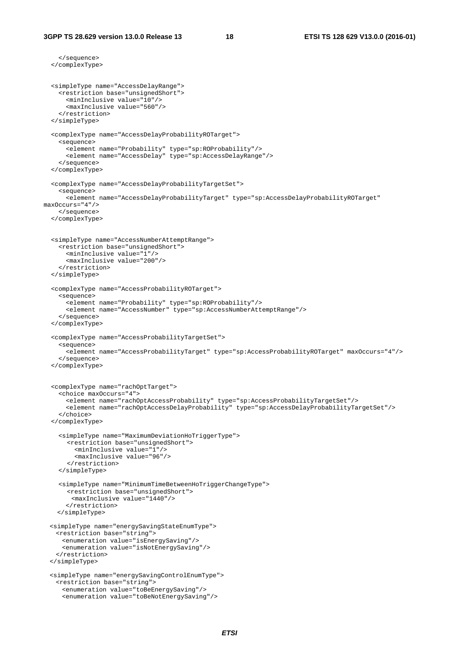```
 </sequence> 
   </complexType> 
   <simpleType name="AccessDelayRange"> 
     <restriction base="unsignedShort"> 
       <minInclusive value="10"/> 
       <maxInclusive value="560"/> 
     </restriction> 
   </simpleType> 
   <complexType name="AccessDelayProbabilityROTarget"> 
     <sequence> 
       <element name="Probability" type="sp:ROProbability"/> 
       <element name="AccessDelay" type="sp:AccessDelayRange"/> 
     </sequence> 
   </complexType> 
   <complexType name="AccessDelayProbabilityTargetSet"> 
     <sequence> 
      <element name="AccessDelayProbabilityTarget" type="sp:AccessDelayProbabilityROTarget" 
maxOccurs="4"/> 
     </sequence> 
   </complexType> 
   <simpleType name="AccessNumberAttemptRange"> 
     <restriction base="unsignedShort"> 
       <minInclusive value="1"/> 
       <maxInclusive value="200"/> 
     </restriction> 
   </simpleType> 
   <complexType name="AccessProbabilityROTarget"> 
     <sequence> 
       <element name="Probability" type="sp:ROProbability"/> 
       <element name="AccessNumber" type="sp:AccessNumberAttemptRange"/> 
     </sequence> 
   </complexType> 
   <complexType name="AccessProbabilityTargetSet"> 
     <sequence> 
       <element name="AccessProbabilityTarget" type="sp:AccessProbabilityROTarget" maxOccurs="4"/> 
     </sequence> 
   </complexType> 
   <complexType name="rachOptTarget"> 
     <choice maxOccurs="4"> 
       <element name="rachOptAccessProbability" type="sp:AccessProbabilityTargetSet"/> 
       <element name="rachOptAccessDelayProbability" type="sp:AccessDelayProbabilityTargetSet"/> 
     </choice> 
   </complexType> 
     <simpleType name="MaximumDeviationHoTriggerType"> 
       <restriction base="unsignedShort"> 
         <minInclusive value="1"/> 
          <maxInclusive value="96"/> 
        </restriction> 
     </simpleType> 
     <simpleType name="MinimumTimeBetweenHoTriggerChangeType"> 
       <restriction base="unsignedShort"> 
         <maxInclusive value="1440"/> 
       </restriction> 
     </simpleType> 
   <simpleType name="energySavingStateEnumType"> 
    <restriction base="string"> 
      <enumeration value="isEnergySaving"/> 
      <enumeration value="isNotEnergySaving"/> 
    </restriction> 
  </simpleType> 
   <simpleType name="energySavingControlEnumType"> 
    <restriction base="string"> 
      <enumeration value="toBeEnergySaving"/> 
      <enumeration value="toBeNotEnergySaving"/>
```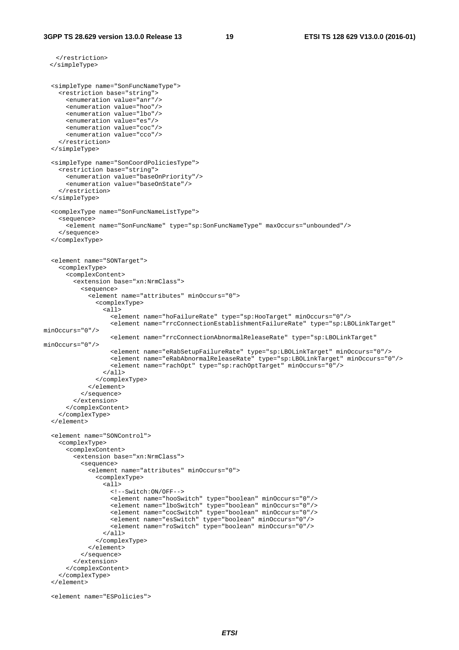```
 </restriction> 
  </simpleType> 
   <simpleType name="SonFuncNameType"> 
     <restriction base="string"> 
       <enumeration value="anr"/> 
       <enumeration value="hoo"/> 
       <enumeration value="lbo"/> 
       <enumeration value="es"/> 
       <enumeration value="coc"/> 
       <enumeration value="cco"/> 
     </restriction> 
   </simpleType> 
   <simpleType name="SonCoordPoliciesType"> 
     <restriction base="string"> 
       <enumeration value="baseOnPriority"/> 
       <enumeration value="baseOnState"/> 
     </restriction> 
   </simpleType> 
   <complexType name="SonFuncNameListType"> 
     <sequence> 
       <element name="SonFuncName" type="sp:SonFuncNameType" maxOccurs="unbounded"/> 
     </sequence> 
   </complexType> 
   <element name="SONTarget"> 
     <complexType> 
       <complexContent> 
         <extension base="xn:NrmClass"> 
           <sequence> 
             <element name="attributes" minOccurs="0"> 
                <complexType> 
                  <all> 
                    <element name="hoFailureRate" type="sp:HooTarget" minOccurs="0"/> 
                    <element name="rrcConnectionEstablishmentFailureRate" type="sp:LBOLinkTarget" 
minOccurs="0"/> 
                    <element name="rrcConnectionAbnormalReleaseRate" type="sp:LBOLinkTarget" 
minOccurs="0"/> 
                    <element name="eRabSetupFailureRate" type="sp:LBOLinkTarget" minOccurs="0"/> 
                    <element name="eRabAbnormalReleaseRate" type="sp:LBOLinkTarget" minOccurs="0"/> 
                    <element name="rachOpt" type="sp:rachOptTarget" minOccurs="0"/> 
                  </all> 
                </complexType> 
             </element> 
           </sequence> 
         </extension> 
       </complexContent> 
     </complexType> 
   </element> 
   <element name="SONControl"> 
     <complexType> 
       <complexContent> 
         <extension base="xn:NrmClass"> 
           <sequence> 
             <element name="attributes" minOccurs="0"> 
                <complexType> 
                  <all> 
                    <!--Switch:ON/OFF--> 
 <element name="hooSwitch" type="boolean" minOccurs="0"/> 
 <element name="lboSwitch" type="boolean" minOccurs="0"/> 
                    <element name="cocSwitch" type="boolean" minOccurs="0"/> 
                    <element name="esSwitch" type="boolean" minOccurs="0"/> 
                    <element name="roSwitch" type="boolean" minOccurs="0"/> 
                 \langleall\rangle </complexType> 
              </element> 
           </sequence> 
         </extension> 
       </complexContent> 
     </complexType> 
   </element> 
   <element name="ESPolicies">
```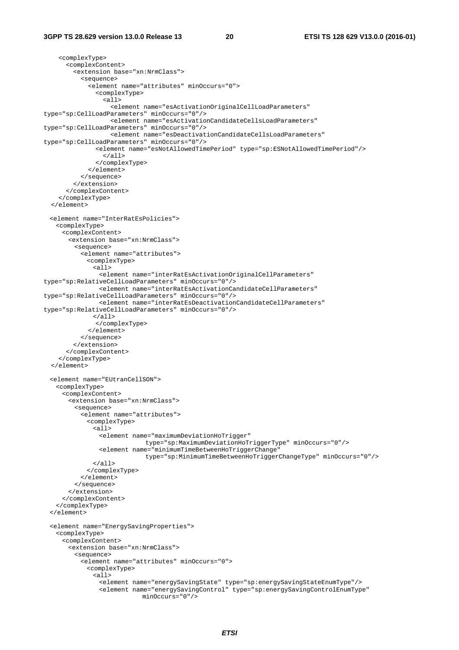```
 <complexType> 
       <complexContent> 
         <extension base="xn:NrmClass"> 
            <sequence> 
              <element name="attributes" minOccurs="0"> 
                <complexType> 
                  <all> 
                   --<br><element name="esActivationOriginalCellLoadParameters"
type="sp:CellLoadParameters" minOccurs="0"/> 
                    <element name="esActivationCandidateCellsLoadParameters" 
type="sp:CellLoadParameters" minOccurs="0"/> 
                    <element name="esDeactivationCandidateCellsLoadParameters" 
type="sp:CellLoadParameters" minOccurs="0"/> 
                <element name="esNotAllowedTimePeriod" type="sp:ESNotAllowedTimePeriod"/> 
                  </all> 
                </complexType> 
              </element> 
            </sequence> 
          </extension> 
       </complexContent> 
     </complexType> 
   </element> 
   <element name="InterRatEsPolicies"> 
    <complexType> 
      <complexContent> 
        <extension base="xn:NrmClass"> 
          <sequence> 
            <element name="attributes"> 
              <complexType> 
               <all> 
                 <element name="interRatEsActivationOriginalCellParameters" 
type="sp:RelativeCellLoadParameters" minOccurs="0"/> 
                 <element name="interRatEsActivationCandidateCellParameters" 
type="sp:RelativeCellLoadParameters" minOccurs="0"/> 
                 <element name="interRatEsDeactivationCandidateCellParameters" 
type="sp:RelativeCellLoadParameters" minOccurs="0"/> 
               </all> 
                </complexType> 
              </element> 
            </sequence> 
         </extension> 
       </complexContent> 
     </complexType> 
   </element> 
   <element name="EUtranCellSON"> 
    <complexType> 
      <complexContent> 
        <extension base="xn:NrmClass"> 
          <sequence> 
            <element name="attributes"> 
             <complexType> 
               <all> 
                 <element name="maximumDeviationHoTrigger" 
                              type="sp:MaximumDeviationHoTriggerType" minOccurs="0"/> 
                 <element name="minimumTimeBetweenHoTriggerChange" 
                               type="sp:MinimumTimeBetweenHoTriggerChangeType" minOccurs="0"/> 
               </all> 
             </complexType> 
            </element> 
          </sequence> 
        </extension> 
      </complexContent> 
    </complexType> 
   </element> 
   <element name="EnergySavingProperties"> 
    <complexType> 
      <complexContent> 
        <extension base="xn:NrmClass"> 
          <sequence> 
            <element name="attributes" minOccurs="0"> 
              <complexType> 
               <all> 
                 <element name="energySavingState" type="sp:energySavingStateEnumType"/> 
                 <element name="energySavingControl" type="sp:energySavingControlEnumType" 
                              minOccurs="0"/>
```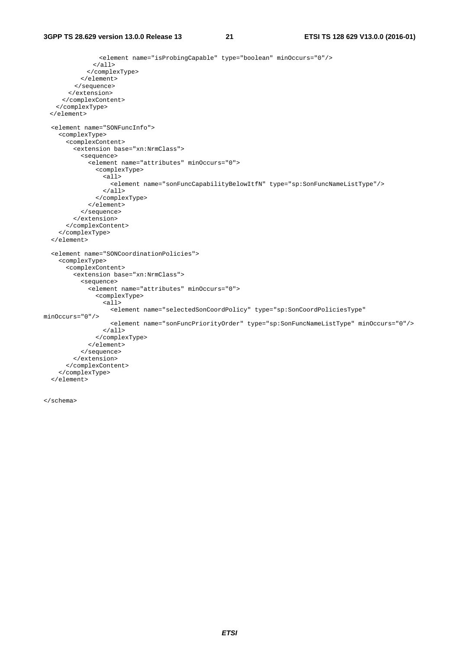```
 <element name="isProbingCapable" type="boolean" minOccurs="0"/> 
                </all> 
              </complexType> 
            </element> 
          </sequence> 
        </extension> 
      </complexContent> 
    </complexType> 
   </element> 
   <element name="SONFuncInfo"> 
     <complexType> 
       <complexContent> 
          <extension base="xn:NrmClass"> 
            <sequence> 
              <element name="attributes" minOccurs="0"> 
                 <complexType> 
                   <all> 
                     <element name="sonFuncCapabilityBelowItfN" type="sp:SonFuncNameListType"/> 
                  \langleall\rangle </complexType> 
              </element> 
            </sequence> 
          </extension> 
       </complexContent> 
     </complexType> 
   </element> 
   <element name="SONCoordinationPolicies"> 
     <complexType> 
       <complexContent> 
          <extension base="xn:NrmClass"> 
            <sequence> 
              <element name="attributes" minOccurs="0"> 
                 <complexType> 
                   <all> 
                     <element name="selectedSonCoordPolicy" type="sp:SonCoordPoliciesType" 
minOccurs="0"/> 
                     <element name="sonFuncPriorityOrder" type="sp:SonFuncNameListType" minOccurs="0"/> 
                  \langleall\rangle </complexType> 
              </element> 
            </sequence> 
          </extension> 
       </complexContent> 
     </complexType> 
   </element>
```
</schema>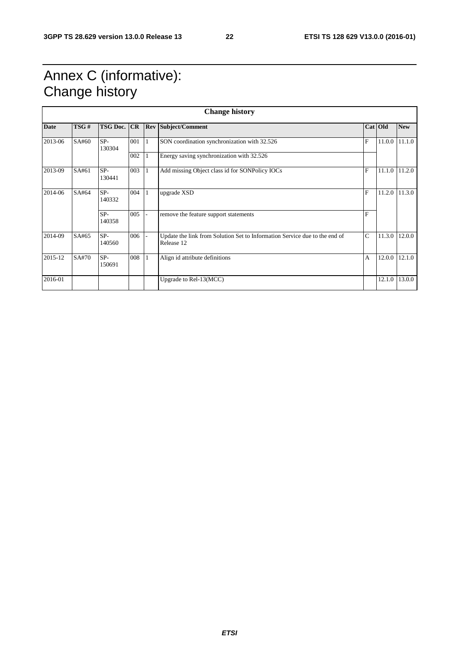### Annex C (informative): Change history

| <b>Change history</b> |       |                    |     |  |                                                                                          |               |         |            |
|-----------------------|-------|--------------------|-----|--|------------------------------------------------------------------------------------------|---------------|---------|------------|
| <b>Date</b>           | TSG#  | <b>TSG Doc.</b> CR |     |  | <b>Rev Subject/Comment</b>                                                               |               | Cat Old | <b>New</b> |
| 2013-06               | SA#60 | SP-<br>130304      | 001 |  | SON coordination synchronization with 32.526                                             | F             | 11.0.0  | 11.1.0     |
|                       |       |                    | 002 |  | Energy saving synchronization with 32.526                                                |               |         |            |
| 2013-09               | SA#61 | SP-<br>130441      | 003 |  | Add missing Object class id for SONPolicy IOCs                                           | F             | 11.1.0  | 11.2.0     |
| 2014-06               | SA#64 | $SP-$<br>140332    | 004 |  | upgrade XSD                                                                              | F             | 11.2.0  | 11.3.0     |
|                       |       | $SP-$<br>140358    | 005 |  | remove the feature support statements                                                    | F             |         |            |
| 2014-09               | SA#65 | SP-<br>140560      | 006 |  | Update the link from Solution Set to Information Service due to the end of<br>Release 12 | $\mathcal{C}$ | 11.3.0  | 12.0.0     |
| 2015-12               | SA#70 | SP-<br>150691      | 008 |  | Align id attribute definitions                                                           | $\mathsf{A}$  | 12.0.0  | 12.1.0     |
| 2016-01               |       |                    |     |  | Upgrade to Rel-13(MCC)                                                                   |               | 12.1.0  | 13.0.0     |